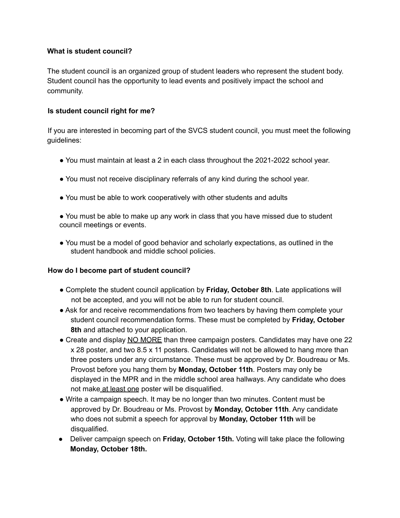# **What is student council?**

The student council is an organized group of student leaders who represent the student body. Student council has the opportunity to lead events and positively impact the school and community.

## **Is student council right for me?**

If you are interested in becoming part of the SVCS student council, you must meet the following guidelines:

- You must maintain at least a 2 in each class throughout the 2021-2022 school year.
- You must not receive disciplinary referrals of any kind during the school year.
- You must be able to work cooperatively with other students and adults
- You must be able to make up any work in class that you have missed due to student council meetings or events.
- You must be a model of good behavior and scholarly expectations, as outlined in the student handbook and middle school policies.

# **How do I become part of student council?**

- Complete the student council application by **Friday, October 8th**. Late applications will not be accepted, and you will not be able to run for student council.
- Ask for and receive recommendations from two teachers by having them complete your student council recommendation forms. These must be completed by **Friday, October 8th** and attached to your application.
- Create and display NO MORE than three campaign posters. Candidates may have one 22 x 28 poster, and two 8.5 x 11 posters. Candidates will not be allowed to hang more than three posters under any circumstance. These must be approved by Dr. Boudreau or Ms. Provost before you hang them by **Monday, October 11th**. Posters may only be displayed in the MPR and in the middle school area hallways. Any candidate who does not make at least one poster will be disqualified.
- Write a campaign speech. It may be no longer than two minutes. Content must be approved by Dr. Boudreau or Ms. Provost by **Monday, October 11th**. Any candidate who does not submit a speech for approval by **Monday, October 11th** will be disqualified.
- Deliver campaign speech on **Friday, October 15th.** Voting will take place the following **Monday, October 18th.**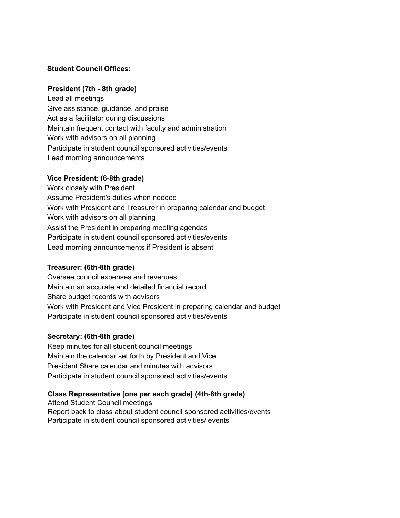# **Student Council Offices:**

## **President (7th - 8th grade)**

Lead all meetings Give assistance, guidance, and praise Act as a facilitator during discussions Maintain frequent contact with faculty and administration Work with advisors on all planning Participate in student council sponsored activities/events Lead morning announcements

### **Vice President**: **(6-8th grade)**

Work closely with President Assume President's duties when needed Work with President and Treasurer in preparing calendar and budget Work with advisors on all planning Assist the President in preparing meeting agendas Participate in student council sponsored activities/events Lead morning announcements if President is absent

#### **Treasurer: (6th-8th grade)**

Oversee council expenses and revenues Maintain an accurate and detailed financial record Share budget records with advisors Work with President and Vice President in preparing calendar and budget Participate in student council sponsored activities/events

#### **Secretary: (6th-8th grade)**

Keep minutes for all student council meetings Maintain the calendar set forth by President and Vice President Share calendar and minutes with advisors Participate in student council sponsored activities/events

## **Class Representative [one per each grade] (4th-8th grade)**

Attend Student Council meetings Report back to class about student council sponsored activities/events Participate in student council sponsored activities/ events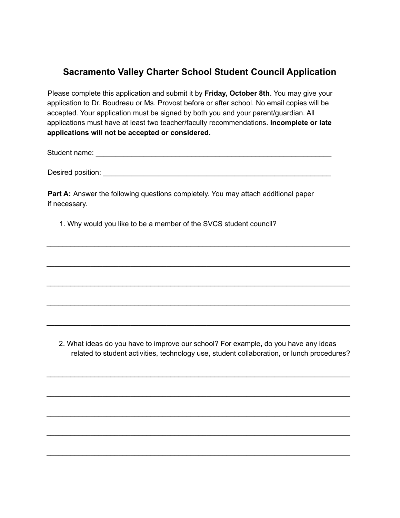# **Sacramento Valley Charter School Student Council Application**

Please complete this application and submit it by **Friday, October 8th**. You may give your application to Dr. Boudreau or Ms. Provost before or after school. No email copies will be accepted. Your application must be signed by both you and your parent/guardian. All applications must have at least two teacher/faculty recommendations. **Incomplete or late applications will not be accepted or considered.**

Student name: \_\_\_\_\_\_\_\_\_\_\_\_\_\_\_\_\_\_\_\_\_\_\_\_\_\_\_\_\_\_\_\_\_\_\_\_\_\_\_\_\_\_\_\_\_\_\_\_\_\_\_\_\_\_\_\_\_\_\_

Desired position: **with a set of the set of the set of the set of the set of the set of the set of the set of the set of the set of the set of the set of the set of the set of the set of the set of the set of the set of th** 

\_\_\_\_\_\_\_\_\_\_\_\_\_\_\_\_\_\_\_\_\_\_\_\_\_\_\_\_\_\_\_\_\_\_\_\_\_\_\_\_\_\_\_\_\_\_\_\_\_\_\_\_\_\_\_\_\_\_\_\_\_\_\_\_\_\_\_\_\_\_\_\_\_\_\_\_

\_\_\_\_\_\_\_\_\_\_\_\_\_\_\_\_\_\_\_\_\_\_\_\_\_\_\_\_\_\_\_\_\_\_\_\_\_\_\_\_\_\_\_\_\_\_\_\_\_\_\_\_\_\_\_\_\_\_\_\_\_\_\_\_\_\_\_\_\_\_\_\_\_\_\_\_

\_\_\_\_\_\_\_\_\_\_\_\_\_\_\_\_\_\_\_\_\_\_\_\_\_\_\_\_\_\_\_\_\_\_\_\_\_\_\_\_\_\_\_\_\_\_\_\_\_\_\_\_\_\_\_\_\_\_\_\_\_\_\_\_\_\_\_\_\_\_\_\_\_\_\_\_

\_\_\_\_\_\_\_\_\_\_\_\_\_\_\_\_\_\_\_\_\_\_\_\_\_\_\_\_\_\_\_\_\_\_\_\_\_\_\_\_\_\_\_\_\_\_\_\_\_\_\_\_\_\_\_\_\_\_\_\_\_\_\_\_\_\_\_\_\_\_\_\_\_\_\_\_

\_\_\_\_\_\_\_\_\_\_\_\_\_\_\_\_\_\_\_\_\_\_\_\_\_\_\_\_\_\_\_\_\_\_\_\_\_\_\_\_\_\_\_\_\_\_\_\_\_\_\_\_\_\_\_\_\_\_\_\_\_\_\_\_\_\_\_\_\_\_\_\_\_\_\_\_

**Part A:** Answer the following questions completely. You may attach additional paper if necessary.

1. Why would you like to be a member of the SVCS student council?

2. What ideas do you have to improve our school? For example, do you have any ideas related to student activities, technology use, student collaboration, or lunch procedures?

\_\_\_\_\_\_\_\_\_\_\_\_\_\_\_\_\_\_\_\_\_\_\_\_\_\_\_\_\_\_\_\_\_\_\_\_\_\_\_\_\_\_\_\_\_\_\_\_\_\_\_\_\_\_\_\_\_\_\_\_\_\_\_\_\_\_\_\_\_\_\_\_\_\_\_\_

\_\_\_\_\_\_\_\_\_\_\_\_\_\_\_\_\_\_\_\_\_\_\_\_\_\_\_\_\_\_\_\_\_\_\_\_\_\_\_\_\_\_\_\_\_\_\_\_\_\_\_\_\_\_\_\_\_\_\_\_\_\_\_\_\_\_\_\_\_\_\_\_\_\_\_\_

\_\_\_\_\_\_\_\_\_\_\_\_\_\_\_\_\_\_\_\_\_\_\_\_\_\_\_\_\_\_\_\_\_\_\_\_\_\_\_\_\_\_\_\_\_\_\_\_\_\_\_\_\_\_\_\_\_\_\_\_\_\_\_\_\_\_\_\_\_\_\_\_\_\_\_\_

\_\_\_\_\_\_\_\_\_\_\_\_\_\_\_\_\_\_\_\_\_\_\_\_\_\_\_\_\_\_\_\_\_\_\_\_\_\_\_\_\_\_\_\_\_\_\_\_\_\_\_\_\_\_\_\_\_\_\_\_\_\_\_\_\_\_\_\_\_\_\_\_\_\_\_\_

\_\_\_\_\_\_\_\_\_\_\_\_\_\_\_\_\_\_\_\_\_\_\_\_\_\_\_\_\_\_\_\_\_\_\_\_\_\_\_\_\_\_\_\_\_\_\_\_\_\_\_\_\_\_\_\_\_\_\_\_\_\_\_\_\_\_\_\_\_\_\_\_\_\_\_\_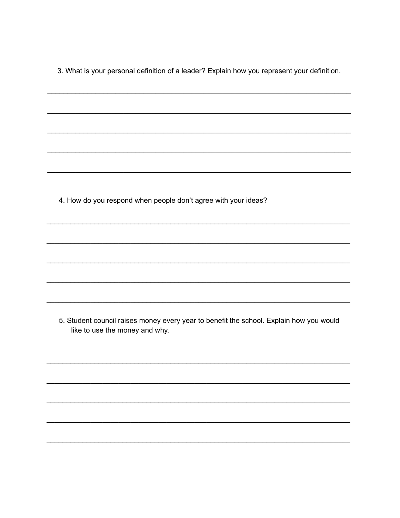3. What is your personal definition of a leader? Explain how you represent your definition.

4. How do you respond when people don't agree with your ideas?

5. Student council raises money every year to benefit the school. Explain how you would like to use the money and why.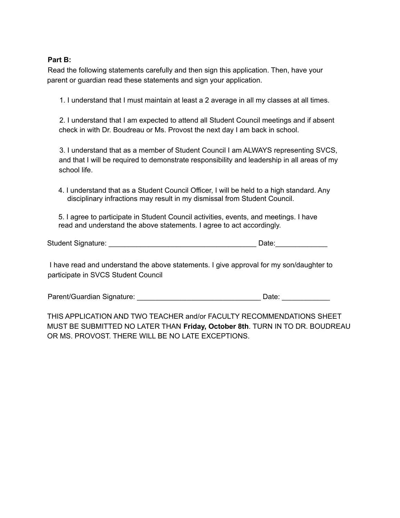## **Part B:**

Read the following statements carefully and then sign this application. Then, have your parent or guardian read these statements and sign your application.

1. I understand that I must maintain at least a 2 average in all my classes at all times.

2. I understand that I am expected to attend all Student Council meetings and if absent check in with Dr. Boudreau or Ms. Provost the next day I am back in school.

3. I understand that as a member of Student Council I am ALWAYS representing SVCS, and that I will be required to demonstrate responsibility and leadership in all areas of my school life.

4. I understand that as a Student Council Officer, I will be held to a high standard. Any disciplinary infractions may result in my dismissal from Student Council.

5. I agree to participate in Student Council activities, events, and meetings. I have read and understand the above statements. I agree to act accordingly.

| <b>Student Signature:</b> | Date: |  |
|---------------------------|-------|--|
|---------------------------|-------|--|

I have read and understand the above statements. I give approval for my son/daughter to participate in SVCS Student Council

Parent/Guardian Signature: \_\_\_\_\_\_\_\_\_\_\_\_\_\_\_\_\_\_\_\_\_\_\_\_\_\_\_\_\_\_\_ Date: \_\_\_\_\_\_\_\_\_\_\_\_

THIS APPLICATION AND TWO TEACHER and/or FACULTY RECOMMENDATIONS SHEET MUST BE SUBMITTED NO LATER THAN **Friday, October 8th**. TURN IN TO DR. BOUDREAU OR MS. PROVOST. THERE WILL BE NO LATE EXCEPTIONS.